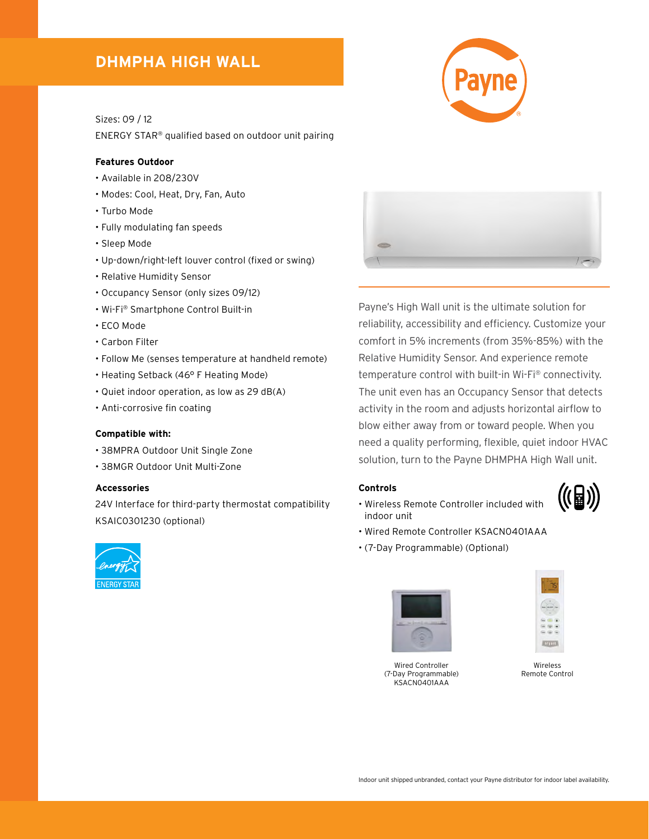## **DHMPHA HIGH WALL**

Sizes: 09 / 12

ENERGY STAR® qualified based on outdoor unit pairing

#### **Features Outdoor**

- Available in 208/230V
- Modes: Cool, Heat, Dry, Fan, Auto
- Turbo Mode
- Fully modulating fan speeds
- Sleep Mode
- Up-down/right-left louver control (fixed or swing)
- Relative Humidity Sensor
- Occupancy Sensor (only sizes 09/12)
- Wi-Fi® Smartphone Control Built-in
- ECO Mode
- Carbon Filter
- Follow Me (senses temperature at handheld remote)
- Heating Setback (46° F Heating Mode)
- Quiet indoor operation, as low as 29 dB(A)
- Anti-corrosive fin coating

#### **Compatible with:**

- 38MPRA Outdoor Unit Single Zone
- 38MGR Outdoor Unit Multi-Zone

#### **Accessories**

24V Interface for third-party thermostat compatibility KSAIC0301230 (optional)





Payne's High Wall unit is the ultimate solution for reliability, accessibility and efficiency. Customize your comfort in 5% increments (from 35%-85%) with the Relative Humidity Sensor. And experience remote temperature control with built-in Wi-Fi® connectivity. The unit even has an Occupancy Sensor that detects activity in the room and adjusts horizontal airflow to blow either away from or toward people. When you need a quality performing, flexible, quiet indoor HVAC solution, turn to the Payne DHMPHA High Wall unit.

#### **Controls**

- Wireless Remote Controller included with indoor unit
- Wired Remote Controller KSACN0401AAA
- (7-Day Programmable) (Optional)







Wireless Remote Control